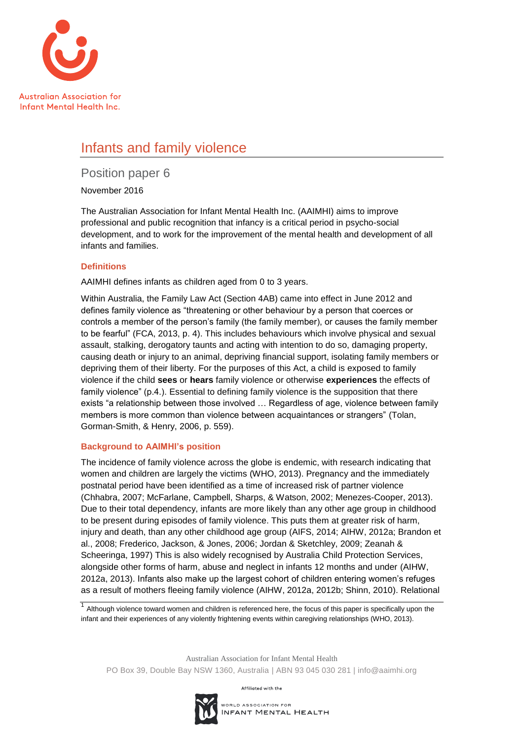

# Infants and family violence

Position paper 6

November 2016

The Australian Association for Infant Mental Health Inc. (AAIMHI) aims to improve professional and public recognition that infancy is a critical period in psycho-social development, and to work for the improvement of the mental health and development of all infants and families.

## **Definitions**

AAIMHI defines infants as children aged from 0 to 3 years.

Within Australia, the Family Law Act (Section 4AB) came into effect in June 2012 and defines family violence as "threatening or other behaviour by a person that coerces or controls a member of the person's family (the family member), or causes the family member to be fearful" [\(FCA, 2013, p. 4\)](#page-3-0). This includes behaviours which involve physical and sexual assault, stalking, derogatory taunts and acting with intention to do so, damaging property, causing death or injury to an animal, depriving financial support, isolating family members or depriving them of their liberty. For the purposes of this Act, a child is exposed to family violence if the child **sees** or **hears** family violence or otherwise **experiences** the effects of family violence" (p.4.). Essential to defining family violence is the supposition that there exists "a relationship between those involved … Regardless of age, violence between family members is more common than violence between acquaintances or strangers" [\(Tolan,](#page-4-0)  [Gorman-Smith, & Henry, 2006, p. 559\)](#page-4-0).

## **Background to AAIMHI's position**

The incidence of family violence across the globe is endemic, with research indicating that women and children are largely the victims [\(WHO, 2013\)](#page-5-0). Pregnancy and the immediately postnatal period have been identified as a time of increased risk of partner violence [\(Chhabra, 2007;](#page-3-1) [McFarlane, Campbell, Sharps, & Watson, 2002;](#page-4-1) [Menezes-Cooper, 2013\)](#page-4-2). Due to their total dependency, infants are more likely than any other age group in childhood to be present during episodes of family violence. This puts them at greater risk of harm, injury and death, than any other childhood age group [\(AIFS, 2014;](#page-2-0) [AIHW, 2012a;](#page-2-1) [Brandon et](#page-2-2)  [al., 2008;](#page-2-2) [Frederico, Jackson, & Jones, 2006;](#page-3-2) Jordan & Sketchley, 2009; Zeanah & Scheeringa, 1997) This is also widely recognised by Australia Child Protection Services, alongside other forms of harm, abuse and neglect in infants 12 months and under [\(AIHW,](#page-2-1)  [2012a,](#page-2-1) [2013\)](#page-2-3). Infants also make up the largest cohort of children entering women's refuges as a result of mothers fleeing family violence [\(AIHW, 2012a,](#page-2-1) [2012b;](#page-2-4) [Shinn, 2010\)](#page-4-3). Relational

 $1$  Although violence toward women and children is referenced here, the focus of this paper is specifically upon the infant and their experiences of any violently frightening events within caregiving relationships (WHO, 2013).

Australian Association for Infant Mental Health PO Box 39, Double Bay NSW 1360, Australia | ABN 93 045 030 281 | info@aaimhi.org

Affiliated with the

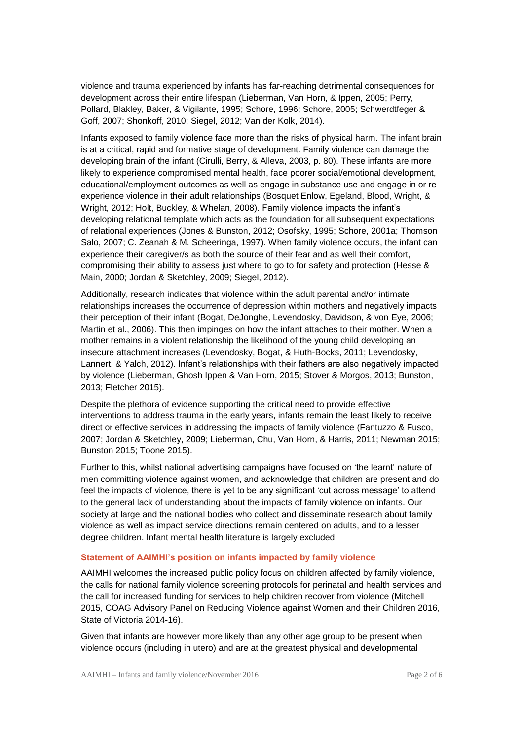violence and trauma experienced by infants has far-reaching detrimental consequences for development across their entire lifespan [\(Lieberman, Van Horn, & Ippen, 2005;](#page-4-4) [Perry,](#page-4-5)  [Pollard, Blakley, Baker, & Vigilante, 1995;](#page-4-5) [Schore, 1996;](#page-4-6) [Schore, 2005;](#page-4-7) [Schwerdtfeger &](#page-4-8)  [Goff, 2007;](#page-4-8) [Shonkoff, 2010;](#page-4-9) [Siegel, 2012;](#page-4-10) [Van der Kolk, 2014\)](#page-5-1).

Infants exposed to family violence face more than the risks of physical harm. The infant brain is at a critical, rapid and formative stage of development. Family violence can damage the developing brain of the infant [\(Cirulli, Berry, & Alleva, 2003, p. 80\)](#page-3-3). These infants are more likely to experience compromised mental health, face poorer social/emotional development, educational/employment outcomes as well as engage in substance use and engage in or reexperience violence in their adult relationships [\(Bosquet Enlow, Egeland, Blood, Wright, &](#page-2-5)  [Wright, 2012;](#page-2-5) [Holt, Buckley, & Whelan, 2008\)](#page-3-4). Family violence impacts the infant's developing relational template which acts as the foundation for all subsequent expectations of relational experiences (Jones & [Bunston, 2012;](#page-3-5) [Osofsky, 1995;](#page-4-11) [Schore, 2001a;](#page-4-12) [Thomson](#page-4-13)  [Salo, 2007;](#page-4-13) [C. Zeanah & M. Scheeringa, 1997\)](#page-5-2). When family violence occurs, the infant can experience their caregiver/s as both the source of their fear and as well their comfort, compromising their ability to assess just where to go to for safety and protection [\(Hesse &](#page-3-6)  [Main, 2000;](#page-3-6) Jordan & Sketchley, 2009; [Siegel, 2012\)](#page-4-10).

Additionally, research indicates that violence within the adult parental and/or intimate relationships increases the occurrence of depression within mothers and negatively impacts their perception of their infant [\(Bogat, DeJonghe, Levendosky, Davidson, & von](#page-2-6) Eye, 2006; [Martin et al., 2006\)](#page-4-14). This then impinges on how the infant attaches to their mother. When a mother remains in a violent relationship the likelihood of the young child developing an insecure attachment increases [\(Levendosky, Bogat, & Huth-Bocks, 2011;](#page-3-7) [Levendosky,](#page-3-8)  [Lannert, & Yalch, 2012\)](#page-3-8). Infant's relationships with their fathers are also negatively impacted by violence (Lieberman, Ghosh Ippen & Van Horn, 2015; Stover & Morgos, 2013; Bunston, 2013; Fletcher 2015).

Despite the plethora of evidence supporting the critical need to provide effective interventions to address trauma in the early years, infants remain the least likely to receive direct or effective services in addressing the impacts of family violence [\(Fantuzzo & Fusco,](#page-3-9)  [2007;](#page-3-9) Jordan & Sketchley, 2009; [Lieberman, Chu, Van Horn, & Harris, 2011;](#page-3-10) Newman 2015; Bunston 2015; Toone 2015).

Further to this, whilst national advertising campaigns have focused on 'the learnt' nature of men committing violence against women, and acknowledge that children are present and do feel the impacts of violence, there is yet to be any significant 'cut across message' to attend to the general lack of understanding about the impacts of family violence on infants. Our society at large and the national bodies who collect and disseminate research about family violence as well as impact service directions remain centered on adults, and to a lesser degree children. Infant mental health literature is largely excluded.

### **Statement of AAIMHI's position on infants impacted by family violence**

AAIMHI welcomes the increased public policy focus on children affected by family violence, the calls for national family violence screening protocols for perinatal and health services and the call for increased funding for services to help children recover from violence (Mitchell 2015, COAG Advisory Panel on Reducing Violence against Women and their Children 2016, State of Victoria 2014-16).

Given that infants are however more likely than any other age group to be present when violence occurs (including in utero) and are at the greatest physical and developmental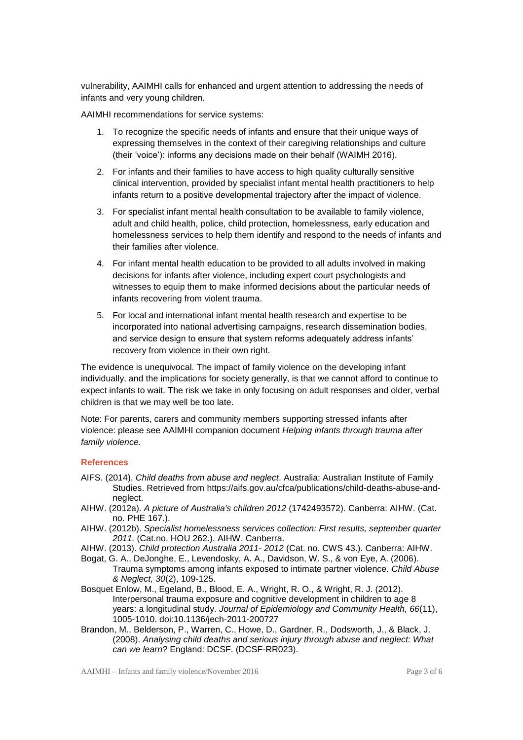vulnerability, AAIMHI calls for enhanced and urgent attention to addressing the needs of infants and very young children.

AAIMHI recommendations for service systems:

- 1. To recognize the specific needs of infants and ensure that their unique ways of expressing themselves in the context of their caregiving relationships and culture (their 'voice'): informs any decisions made on their behalf (WAIMH 2016).
- 2. For infants and their families to have access to high quality culturally sensitive clinical intervention, provided by specialist infant mental health practitioners to help infants return to a positive developmental trajectory after the impact of violence.
- 3. For specialist infant mental health consultation to be available to family violence, adult and child health, police, child protection, homelessness, early education and homelessness services to help them identify and respond to the needs of infants and their families after violence.
- 4. For infant mental health education to be provided to all adults involved in making decisions for infants after violence, including expert court psychologists and witnesses to equip them to make informed decisions about the particular needs of infants recovering from violent trauma.
- 5. For local and international infant mental health research and expertise to be incorporated into national advertising campaigns, research dissemination bodies, and service design to ensure that system reforms adequately address infants' recovery from violence in their own right.

The evidence is unequivocal. The impact of family violence on the developing infant individually, and the implications for society generally, is that we cannot afford to continue to expect infants to wait. The risk we take in only focusing on adult responses and older, verbal children is that we may well be too late.

Note: For parents, carers and community members supporting stressed infants after violence: please see AAIMHI companion document *Helping infants through trauma after family violence.*

### **References**

- <span id="page-2-0"></span>AIFS. (2014). *Child deaths from abuse and neglect*. Australia: Australian Institute of Family Studies. Retrieved from https://aifs.gov.au/cfca/publications/child-deaths-abuse-andneglect.
- <span id="page-2-1"></span>AIHW. (2012a). *A picture of Australia's children 2012* (1742493572). Canberra: AIHW. (Cat. no. PHE 167.).
- <span id="page-2-4"></span>AIHW. (2012b). *Specialist homelessness services collection: First results, september quarter 2011.* (Cat.no. HOU 262.). AIHW. Canberra.
- <span id="page-2-3"></span>AIHW. (2013). *Child protection Australia 2011- 2012* (Cat. no. CWS 43.). Canberra: AIHW.
- <span id="page-2-6"></span>Bogat, G. A., DeJonghe, E., Levendosky, A. A., Davidson, W. S., & von Eye, A. (2006). Trauma symptoms among infants exposed to intimate partner violence. *Child Abuse & Neglect, 30*(2), 109-125.
- <span id="page-2-5"></span>Bosquet Enlow, M., Egeland, B., Blood, E. A., Wright, R. O., & Wright, R. J. (2012). Interpersonal trauma exposure and cognitive development in children to age 8 years: a longitudinal study. *Journal of Epidemiology and Community Health, 66*(11), 1005-1010. doi:10.1136/jech-2011-200727
- <span id="page-2-2"></span>Brandon, M., Belderson, P., Warren, C., Howe, D., Gardner, R., Dodsworth, J., & Black, J. (2008). *Analysing child deaths and serious injury through abuse and neglect: What can we learn?* England: DCSF. (DCSF-RR023).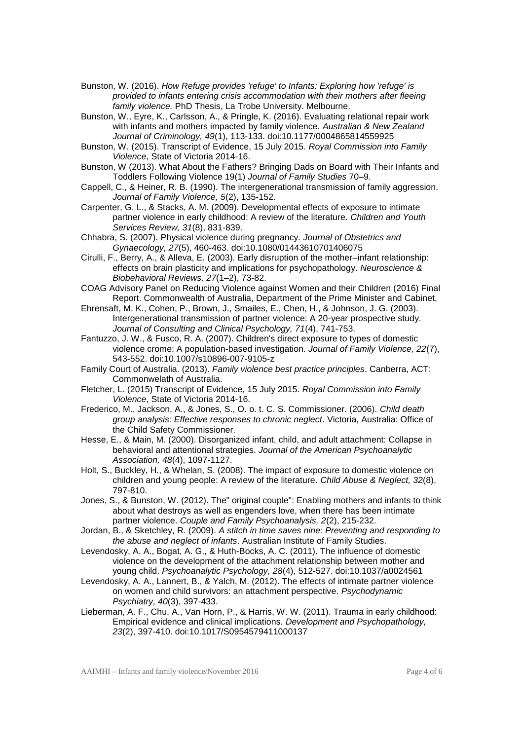- Bunston, W. (2016). *How Refuge provides 'refuge' to Infants: Exploring how 'refuge' is provided to infants entering crisis accommodation with their mothers after fleeing family violence.* PhD Thesis, La Trobe University. Melbourne.
- Bunston, W., Eyre, K., Carlsson, A., & Pringle, K. (2016). Evaluating relational repair work with infants and mothers impacted by family violence. *Australian & New Zealand Journal of Criminology, 49*(1), 113-133. doi:10.1177/0004865814559925
- Bunston, W. (2015). Transcript of Evidence, 15 July 2015. *Royal Commission into Family Violence*, State of Victoria 2014-16.
- Bunston, W (2013). What About the Fathers? Bringing Dads on Board with Their Infants and Toddlers Following Violence 19(1) *Journal of Family Studies* 70–9.
- Cappell, C., & Heiner, R. B. (1990). The intergenerational transmission of family aggression. *Journal of Family Violence, 5*(2), 135-152.
- Carpenter, G. L., & Stacks, A. M. (2009). Developmental effects of exposure to intimate partner violence in early childhood: A review of the literature. *Children and Youth Services Review, 31*(8), 831-839.
- <span id="page-3-1"></span>Chhabra, S. (2007). Physical violence during pregnancy. *Journal of Obstetrics and Gynaecology, 27*(5), 460-463. doi:10.1080/01443610701406075
- <span id="page-3-3"></span>Cirulli, F., Berry, A., & Alleva, E. (2003). Early disruption of the mother–infant relationship: effects on brain plasticity and implications for psychopathology. *Neuroscience & Biobehavioral Reviews, 27*(1–2), 73-82.
- COAG Advisory Panel on Reducing Violence against Women and their Children (2016) Final Report. Commonwealth of Australia, Department of the Prime Minister and Cabinet,
- Ehrensaft, M. K., Cohen, P., Brown, J., Smailes, E., Chen, H., & Johnson, J. G. (2003). Intergenerational transmission of partner violence: A 20-year prospective study. *Journal of Consulting and Clinical Psychology, 71*(4), 741-753.
- <span id="page-3-9"></span>Fantuzzo, J. W., & Fusco, R. A. (2007). Children's direct exposure to types of domestic violence crome: A population-based investigation. *Journal of Family Violence, 22*(7), 543-552. doi:10.1007/s10896-007-9105-z
- <span id="page-3-0"></span>Family Court of Australia. (2013). *Family violence best practice principles*. Canberra, ACT: Commonwelath of Australia.
- Fletcher, L. (2015) Transcript of Evidence, 15 July 2015. *Royal Commission into Family Violence*, State of Victoria 2014-16.
- <span id="page-3-2"></span>Frederico, M., Jackson, A., & Jones, S., O. o. t. C. S. Commissioner. (2006). *Child death group analysis: Effective responses to chronic neglect*. Victoria, Australia: Office of the Child Safety Commissioner.
- <span id="page-3-6"></span>Hesse, E., & Main, M. (2000). Disorganized infant, child, and adult attachment: Collapse in behavioral and attentional strategies. *Journal of the American Psychoanalytic Association, 48*(4), 1097-1127.
- <span id="page-3-4"></span>Holt, S., Buckley, H., & Whelan, S. (2008). The impact of exposure to domestic violence on children and young people: A review of the literature. *Child Abuse & Neglect, 32*(8), 797-810.
- <span id="page-3-5"></span>Jones, S., & Bunston, W. (2012). The" original couple": Enabling mothers and infants to think about what destroys as well as engenders love, when there has been intimate partner violence. *Couple and Family Psychoanalysis, 2*(2), 215-232.
- Jordan, B., & Sketchley, R. (2009). *A stitch in time saves nine: Preventing and responding to the abuse and neglect of infants*. Australian Institute of Family Studies.
- <span id="page-3-7"></span>Levendosky, A. A., Bogat, A. G., & Huth-Bocks, A. C. (2011). The influence of domestic violence on the development of the attachment relationship between mother and young child. *Psychoanalytic Psychology, 28*(4), 512-527. doi:10.1037/a0024561
- <span id="page-3-8"></span>Levendosky, A. A., Lannert, B., & Yalch, M. (2012). The effects of intimate partner violence on women and child survivors: an attachment perspective. *Psychodynamic Psychiatry, 40*(3), 397-433.
- <span id="page-3-10"></span>Lieberman, A. F., Chu, A., Van Horn, P., & Harris, W. W. (2011). Trauma in early childhood: Empirical evidence and clinical implications. *Development and Psychopathology, 23*(2), 397-410. doi:10.1017/S0954579411000137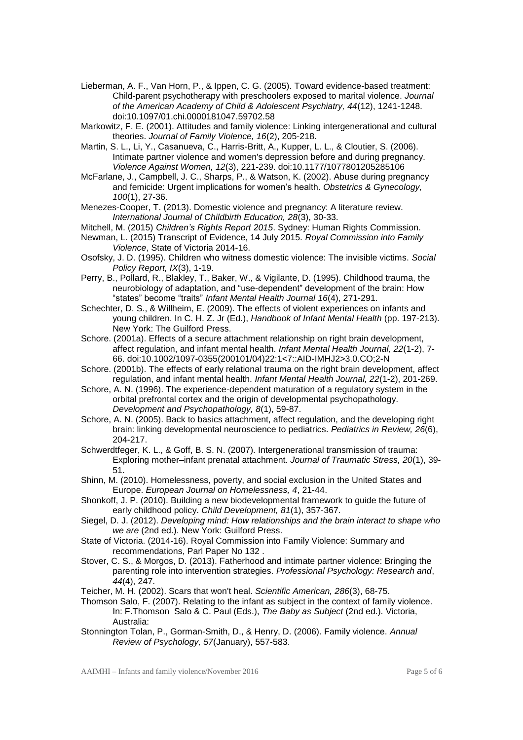- <span id="page-4-4"></span>Lieberman, A. F., Van Horn, P., & Ippen, C. G. (2005). Toward evidence-based treatment: Child-parent psychotherapy with preschoolers exposed to marital violence. *Journal of the American Academy of Child & Adolescent Psychiatry, 44*(12), 1241-1248. doi:10.1097/01.chi.0000181047.59702.58
- Markowitz, F. E. (2001). Attitudes and family violence: Linking intergenerational and cultural theories. *Journal of Family Violence, 16*(2), 205-218.
- <span id="page-4-14"></span>Martin, S. L., Li, Y., Casanueva, C., Harris-Britt, A., Kupper, L. L., & Cloutier, S. (2006). Intimate partner violence and women's depression before and during pregnancy. *Violence Against Women, 12*(3), 221-239. doi:10.1177/1077801205285106
- <span id="page-4-1"></span>McFarlane, J., Campbell, J. C., Sharps, P., & Watson, K. (2002). Abuse during pregnancy and femicide: Urgent implications for women's health. *Obstetrics & Gynecology, 100*(1), 27-36.
- <span id="page-4-2"></span>Menezes-Cooper, T. (2013). Domestic violence and pregnancy: A literature review. *International Journal of Childbirth Education, 28*(3), 30-33.

Mitchell, M. (2015) *Children's Rights Report 2015*. Sydney: Human Rights Commission.

- Newman, L. (2015) Transcript of Evidence, 14 July 2015. *Royal Commission into Family Violence*, State of Victoria 2014-16.
- <span id="page-4-11"></span>Osofsky, J. D. (1995). Children who witness domestic violence: The invisible victims. *Social Policy Report, IX*(3), 1-19.
- <span id="page-4-5"></span>Perry, B., Pollard, R., Blakley, T., Baker, W., & Vigilante, D. (1995). Childhood trauma, the neurobiology of adaptation, and "use-dependent" development of the brain: How "states" become "traits" *Infant Mental Health Journal 16*(4), 271-291.
- Schechter, D. S., & Willheim, E. (2009). The effects of violent experiences on infants and young children. In C. H. Z. Jr (Ed.), *Handbook of Infant Mental Health* (pp. 197-213). New York: The Guilford Press.
- <span id="page-4-12"></span>Schore. (2001a). Effects of a secure attachment relationship on right brain development, affect regulation, and infant mental health. *Infant Mental Health Journal, 22*(1-2), 7- 66. doi:10.1002/1097-0355(200101/04)22:1<7::AID-IMHJ2>3.0.CO;2-N
- Schore. (2001b). The effects of early relational trauma on the right brain development, affect regulation, and infant mental health. *Infant Mental Health Journal, 22*(1-2), 201-269.
- <span id="page-4-6"></span>Schore, A. N. (1996). The experience-dependent maturation of a regulatory system in the orbital prefrontal cortex and the origin of developmental psychopathology. *Development and Psychopathology, 8*(1), 59-87.
- <span id="page-4-7"></span>Schore, A. N. (2005). Back to basics attachment, affect regulation, and the developing right brain: linking developmental neuroscience to pediatrics. *Pediatrics in Review, 26*(6), 204-217.
- <span id="page-4-8"></span>Schwerdtfeger, K. L., & Goff, B. S. N. (2007). Intergenerational transmission of trauma: Exploring mother–infant prenatal attachment. *Journal of Traumatic Stress, 20*(1), 39- 51.
- <span id="page-4-3"></span>Shinn, M. (2010). Homelessness, poverty, and social exclusion in the United States and Europe. *European Journal on Homelessness, 4*, 21-44.
- <span id="page-4-9"></span>Shonkoff, J. P. (2010). Building a new biodevelopmental framework to guide the future of early childhood policy. *Child Development, 81*(1), 357-367.
- <span id="page-4-10"></span>Siegel, D. J. (2012). *Developing mind: How relationships and the brain interact to shape who we are* (2nd ed.). New York: Guilford Press.
- State of Victoria. (2014-16). Royal Commission into Family Violence: Summary and recommendations, Parl Paper No 132 .
- Stover, C. S., & Morgos, D. (2013). Fatherhood and intimate partner violence: Bringing the parenting role into intervention strategies. *Professional Psychology: Research and*, *44*(4), 247.
- Teicher, M. H. (2002). Scars that won't heal. *Scientific American, 286*(3), 68-75.
- <span id="page-4-13"></span>Thomson Salo, F. (2007). Relating to the infant as subject in the context of family violence. In: F.Thomson Salo & C. Paul (Eds.), *The Baby as Subject* (2nd ed.). Victoria, Australia:
- <span id="page-4-0"></span>Stonnington Tolan, P., Gorman-Smith, D., & Henry, D. (2006). Family violence. *Annual Review of Psychology, 57*(January), 557-583.